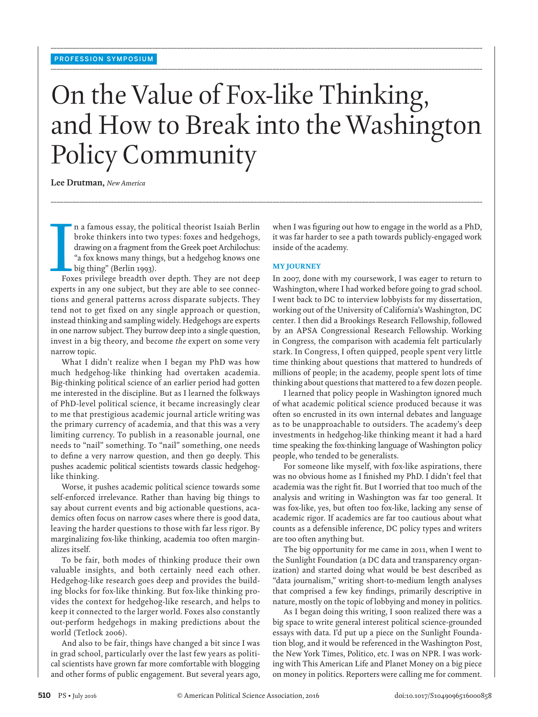# On the Value of Fox-like Thinking, and How to Break into the Washington Policy Community

**........................................................................................................................................................................................................................................................................................................**

**........................................................................................................................................................................................................................................................................................................**

**........................................................................................................................................................................................................................................................................................................**

 **Lee Drutman ,** *New America* 

Fox n a famous essay, the political theorist Isaiah Berlin broke thinkers into two types: foxes and hedgehogs, drawing on a fragment from the Greek poet Archilochus: "a fox knows many things, but a hedgehog knows one big thing" (Berlin 1993).

 Foxes privilege breadth over depth. They are not deep experts in any one subject, but they are able to see connections and general patterns across disparate subjects. They tend not to get fixed on any single approach or question, instead thinking and sampling widely. Hedgehogs are experts in one narrow subject. They burrow deep into a single question, invest in a big theory, and become *the* expert on some very narrow topic.

 What I didn't realize when I began my PhD was how much hedgehog-like thinking had overtaken academia. Big-thinking political science of an earlier period had gotten me interested in the discipline. But as I learned the folkways of PhD-level political science, it became increasingly clear to me that prestigious academic journal article writing was the primary currency of academia, and that this was a very limiting currency. To publish in a reasonable journal, one needs to "nail" something. To "nail" something, one needs to define a very narrow question, and then go deeply. This pushes academic political scientists towards classic hedgehoglike thinking.

 Worse, it pushes academic political science towards some self-enforced irrelevance. Rather than having big things to say about current events and big actionable questions, academics often focus on narrow cases where there is good data, leaving the harder questions to those with far less rigor. By marginalizing fox-like thinking, academia too often marginalizes itself.

 To be fair, both modes of thinking produce their own valuable insights, and both certainly need each other. Hedgehog-like research goes deep and provides the building blocks for fox-like thinking. But fox-like thinking provides the context for hedgehog-like research, and helps to keep it connected to the larger world. Foxes also constantly out-perform hedgehogs in making predictions about the world (Tetlock 2006).

 And also to be fair, things have changed a bit since I was in grad school, particularly over the last few years as political scientists have grown far more comfortable with blogging and other forms of public engagement. But several years ago, when I was figuring out how to engage in the world as a PhD, it was far harder to see a path towards publicly-engaged work inside of the academy.

# **MY JOURNEY**

 In 2007, done with my coursework, I was eager to return to Washington, where I had worked before going to grad school. I went back to DC to interview lobbyists for my dissertation, working out of the University of California's Washington, DC center. I then did a Brookings Research Fellowship, followed by an APSA Congressional Research Fellowship. Working in Congress, the comparison with academia felt particularly stark. In Congress, I often quipped, people spent very little time thinking about questions that mattered to hundreds of millions of people; in the academy, people spent lots of time thinking about questions that mattered to a few dozen people.

 I learned that policy people in Washington ignored much of what academic political science produced because it was often so encrusted in its own internal debates and language as to be unapproachable to outsiders. The academy's deep investments in hedgehog-like thinking meant it had a hard time speaking the fox-thinking language of Washington policy people, who tended to be generalists.

 For someone like myself, with fox-like aspirations, there was no obvious home as I finished my PhD. I didn't feel that academia was the right fit. But I worried that too much of the analysis and writing in Washington was far too general. It was fox-like, yes, but often too fox-like, lacking any sense of academic rigor. If academics are far too cautious about what counts as a defensible inference, DC policy types and writers are too often anything but.

 The big opportunity for me came in 2011, when I went to the Sunlight Foundation (a DC data and transparency organization) and started doing what would be best described as "data journalism," writing short-to-medium length analyses that comprised a few key findings, primarily descriptive in nature, mostly on the topic of lobbying and money in politics.

 As I began doing this writing, I soon realized there was a big space to write general interest political science-grounded essays with data. I'd put up a piece on the Sunlight Foundation blog, and it would be referenced in the Washington Post, the New York Times, Politico, etc. I was on NPR. I was working with This American Life and Planet Money on a big piece on money in politics. Reporters were calling me for comment.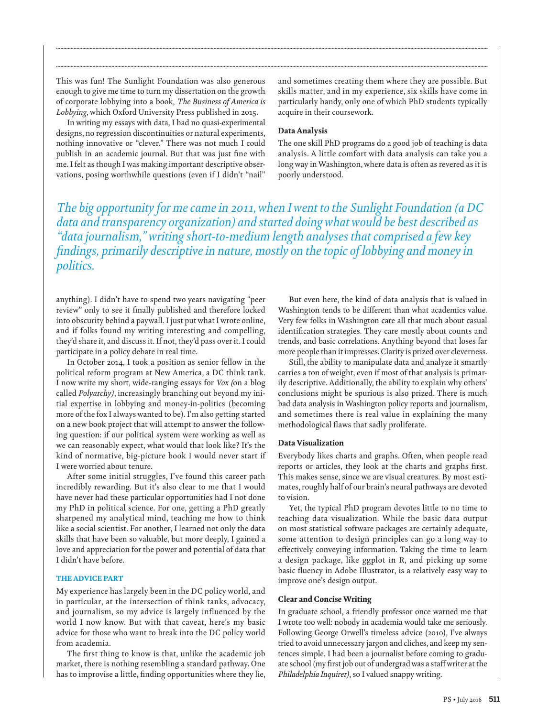This was fun! The Sunlight Foundation was also generous enough to give me time to turn my dissertation on the growth of corporate lobbying into a book, *The Business of America is Lobbying* , which Oxford University Press published in 2015.

 In writing my essays with data, I had no quasi-experimental designs, no regression discontinuities or natural experiments, nothing innovative or "clever." There was not much I could publish in an academic journal. But that was just fine with me. I felt as though I was making important descriptive observations, posing worthwhile questions (even if I didn't "nail"

and sometimes creating them where they are possible. But skills matter, and in my experience, six skills have come in particularly handy, only one of which PhD students typically acquire in their coursework.

# **Data Analysis**

 The one skill PhD programs do a good job of teaching is data analysis. A little comfort with data analysis can take you a long way in Washington, where data is often as revered as it is poorly understood.

 *The big opportunity for me came in 2011, when I went to the Sunlight Foundation (a DC data and transparency organization) and started doing what would be best described as "data journalism," writing short-to-medium length analyses that comprised a few key fi ndings, primarily descriptive in nature, mostly on the topic of lobbying and money in politics.* 

**........................................................................................................................................................................................................................................................................................................**

**........................................................................................................................................................................................................................................................................................................**

anything). I didn't have to spend two years navigating "peer review" only to see it finally published and therefore locked into obscurity behind a paywall. I just put what I wrote online, and if folks found my writing interesting and compelling, they'd share it, and discuss it. If not, they'd pass over it. I could participate in a policy debate in real time.

 In October 2014, I took a position as senior fellow in the political reform program at New America, a DC think tank. I now write my short, wide-ranging essays for *Vox (* on a blog called *Polyarchy)* , increasingly branching out beyond my initial expertise in lobbying and money-in-politics (becoming more of the fox I always wanted to be). I'm also getting started on a new book project that will attempt to answer the following question: if our political system were working as well as we can reasonably expect, what would that look like? It's the kind of normative, big-picture book I would never start if I were worried about tenure.

 After some initial struggles, I've found this career path incredibly rewarding. But it's also clear to me that I would have never had these particular opportunities had I not done my PhD in political science. For one, getting a PhD greatly sharpened my analytical mind, teaching me how to think like a social scientist. For another, I learned not only the data skills that have been so valuable, but more deeply, I gained a love and appreciation for the power and potential of data that I didn't have before.

# **THE ADVICE PART**

 My experience has largely been in the DC policy world, and in particular, at the intersection of think tanks, advocacy, and journalism, so my advice is largely influenced by the world I now know. But with that caveat, here's my basic advice for those who want to break into the DC policy world from academia.

The first thing to know is that, unlike the academic job market, there is nothing resembling a standard pathway. One has to improvise a little, finding opportunities where they lie,

 But even here, the kind of data analysis that is valued in Washington tends to be different than what academics value. Very few folks in Washington care all that much about casual identification strategies. They care mostly about counts and trends, and basic correlations. Anything beyond that loses far more people than it impresses. Clarity is prized over cleverness.

 Still, the ability to manipulate data and analyze it smartly carries a ton of weight, even if most of that analysis is primarily descriptive. Additionally, the ability to explain why others' conclusions might be spurious is also prized. There is much bad data analysis in Washington policy reports and journalism, and sometimes there is real value in explaining the many methodological flaws that sadly proliferate.

## **Data Visualization**

 Everybody likes charts and graphs. Often, when people read reports or articles, they look at the charts and graphs first. This makes sense, since we are visual creatures. By most estimates, roughly half of our brain's neural pathways are devoted to vision.

 Yet, the typical PhD program devotes little to no time to teaching data visualization. While the basic data output on most statistical software packages are certainly adequate, some attention to design principles can go a long way to effectively conveying information. Taking the time to learn a design package, like ggplot in R, and picking up some basic fluency in Adobe Illustrator, is a relatively easy way to improve one's design output.

### **Clear and Concise Writing**

 In graduate school, a friendly professor once warned me that I wrote too well: nobody in academia would take me seriously. Following George Orwell's timeless advice (2010), I've always tried to avoid unnecessary jargon and cliches, and keep my sentences simple. I had been a journalist before coming to graduate school (my first job out of undergrad was a staff writer at the *Philadelphia Inquirer)* , so I valued snappy writing.